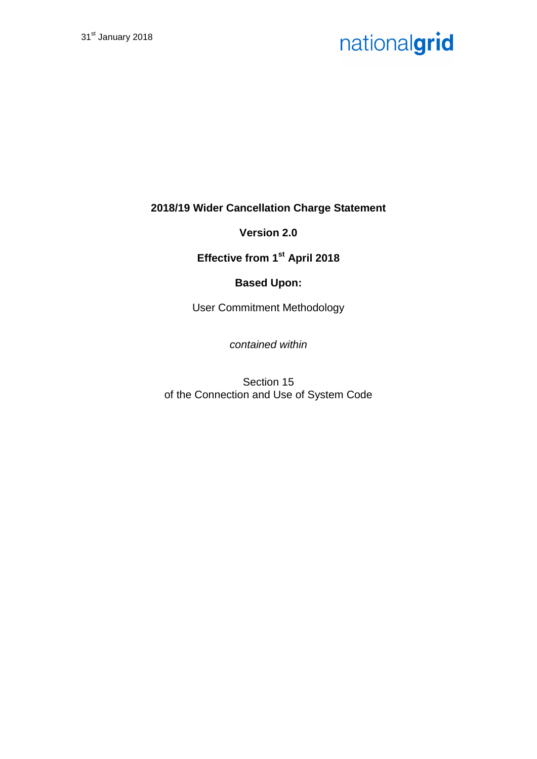**2018/19 Wider Cancellation Charge Statement**

**Version 2.0**

**Effective from 1st April 2018**

### **Based Upon:**

User Commitment Methodology

*contained within*

Section 15 of the Connection and Use of System Code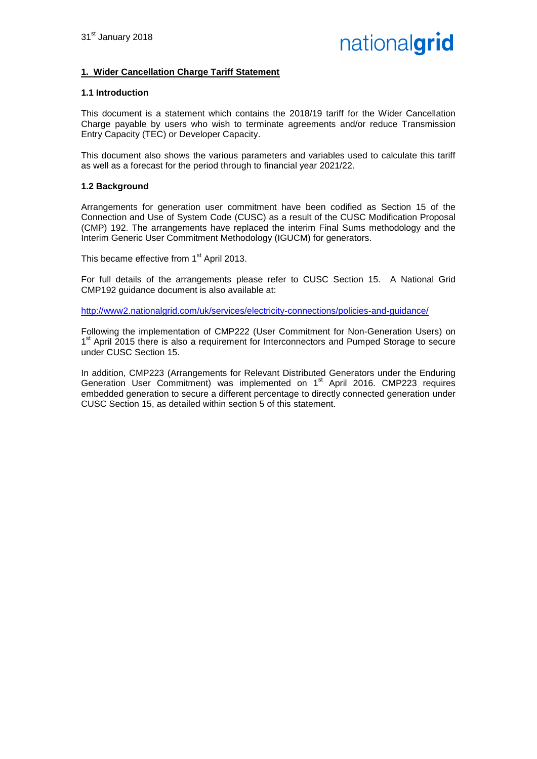#### **1. Wider Cancellation Charge Tariff Statement**

#### **1.1 Introduction**

This document is a statement which contains the 2018/19 tariff for the Wider Cancellation Charge payable by users who wish to terminate agreements and/or reduce Transmission Entry Capacity (TEC) or Developer Capacity.

This document also shows the various parameters and variables used to calculate this tariff as well as a forecast for the period through to financial year 2021/22.

#### **1.2 Background**

Arrangements for generation user commitment have been codified as Section 15 of the Connection and Use of System Code (CUSC) as a result of the CUSC Modification Proposal (CMP) 192. The arrangements have replaced the interim Final Sums methodology and the Interim Generic User Commitment Methodology (IGUCM) for generators.

This became effective from 1<sup>st</sup> April 2013.

For full details of the arrangements please refer to CUSC Section 15. A National Grid CMP192 guidance document is also available at:

<http://www2.nationalgrid.com/uk/services/electricity-connections/policies-and-guidance/>

Following the implementation of CMP222 (User Commitment for Non-Generation Users) on 1<sup>st</sup> April 2015 there is also a requirement for Interconnectors and Pumped Storage to secure under CUSC Section 15.

In addition, CMP223 (Arrangements for Relevant Distributed Generators under the Enduring Generation User Commitment) was implemented on 1<sup>st</sup> April 2016. CMP223 requires embedded generation to secure a different percentage to directly connected generation under CUSC Section 15, as detailed within section 5 of this statement.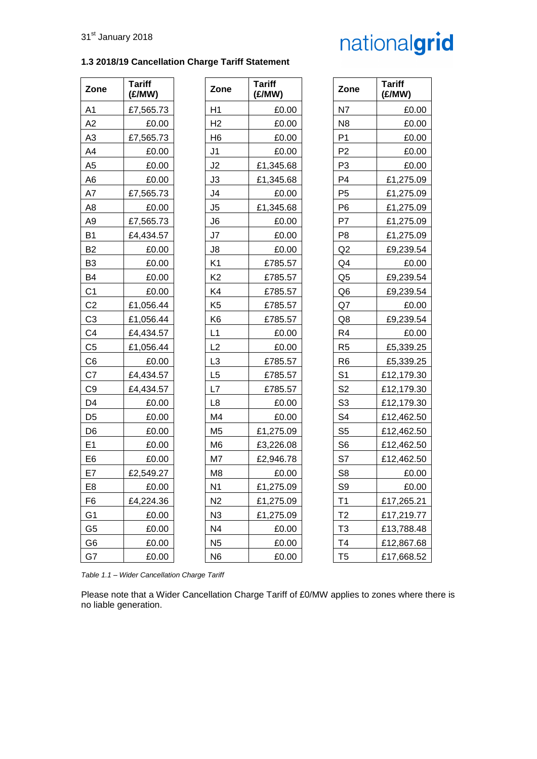| Zone           | <b>Tariff</b><br>(£/MW) | Zone           | <b>Tariff</b><br>(E/MW) | Zone           | <b>Tariff</b><br>(E/MW) |
|----------------|-------------------------|----------------|-------------------------|----------------|-------------------------|
| A <sub>1</sub> | £7,565.73               | H1             | £0.00                   | N7             | £0.00                   |
| A2             | £0.00                   | H <sub>2</sub> | £0.00                   | N <sub>8</sub> | £0.00                   |
| A <sub>3</sub> | £7,565.73               | H <sub>6</sub> | £0.00                   | P <sub>1</sub> | £0.00                   |
| A4             | £0.00                   | J <sub>1</sub> | £0.00                   | P <sub>2</sub> | £0.00                   |
| A <sub>5</sub> | £0.00                   | J2             | £1,345.68               | P <sub>3</sub> | £0.00                   |
| A <sub>6</sub> | £0.00                   | J3             | £1,345.68               | P <sub>4</sub> | £1,275.09               |
| A7             | £7,565.73               | J4             | £0.00                   | P <sub>5</sub> | £1,275.09               |
| A <sub>8</sub> | £0.00                   | J5             | £1,345.68               | P <sub>6</sub> | £1,275.09               |
| A <sub>9</sub> | £7,565.73               | J6             | £0.00                   | P7             | £1,275.09               |
| B <sub>1</sub> | £4,434.57               | J7             | £0.00                   | P <sub>8</sub> | £1,275.09               |
| B <sub>2</sub> | £0.00                   | J8             | £0.00                   | Q2             | £9,239.54               |
| B <sub>3</sub> | £0.00                   | K <sub>1</sub> | £785.57                 | Q4             | £0.00                   |
| B <sub>4</sub> | £0.00                   | K <sub>2</sub> | £785.57                 | Q <sub>5</sub> | £9,239.54               |
| C <sub>1</sub> | £0.00                   | K4             | £785.57                 | Q <sub>6</sub> | £9,239.54               |
| C <sub>2</sub> | £1,056.44               | K <sub>5</sub> | £785.57                 | Q7             | £0.00                   |
| C <sub>3</sub> | £1,056.44               | K <sub>6</sub> | £785.57                 | Q8             | £9,239.54               |
| C <sub>4</sub> | £4,434.57               | L1             | £0.00                   | R <sub>4</sub> | £0.00                   |
| C <sub>5</sub> | £1,056.44               | L2             | £0.00                   | R <sub>5</sub> | £5,339.25               |
| C6             | £0.00                   | L <sub>3</sub> | £785.57                 | R <sub>6</sub> | £5,339.25               |
| C7             | £4,434.57               | L <sub>5</sub> | £785.57                 | S <sub>1</sub> | £12,179.30              |
| C <sub>9</sub> | £4,434.57               | L7             | £785.57                 | S <sub>2</sub> | £12,179.30              |
| D <sub>4</sub> | £0.00                   | L8             | £0.00                   | S <sub>3</sub> | £12,179.30              |
| D <sub>5</sub> | £0.00                   | M <sub>4</sub> | £0.00                   | S <sub>4</sub> | £12,462.50              |
| D <sub>6</sub> | £0.00                   | M <sub>5</sub> | £1,275.09               | S <sub>5</sub> | £12,462.50              |
| E <sub>1</sub> | £0.00                   | M <sub>6</sub> | £3,226.08               | S <sub>6</sub> | £12,462.50              |
| E <sub>6</sub> | £0.00                   | M7             | £2,946.78               | S7             | £12,462.50              |
| E7             | £2,549.27               | M <sub>8</sub> | £0.00                   | S <sub>8</sub> | £0.00                   |
| E <sub>8</sub> | £0.00                   | N <sub>1</sub> | £1,275.09               | S <sub>9</sub> | £0.00                   |
| F <sub>6</sub> | £4,224.36               | N <sub>2</sub> | £1,275.09               | T1             | £17,265.21              |
| G <sub>1</sub> | £0.00                   | N3             | £1,275.09               | T <sub>2</sub> | £17,219.77              |
| G <sub>5</sub> | £0.00                   | N4             | £0.00                   | T <sub>3</sub> | £13,788.48              |
| $\sim$         | 0000                    | <b>NIE</b>     | 0000                    | $T_{\Lambda}$  | 0.40.020                |

**1.3 2018/19 Cancellation Charge Tariff Statement**

| Zone                    | <b>Tariff</b><br>(£/MW) | Zone           | <b>Tariff</b><br>(£/MW) | Zone           | <b>Tariff</b><br>(£/MW) |
|-------------------------|-------------------------|----------------|-------------------------|----------------|-------------------------|
| <u>A1</u>               | £7,565.73               | H1             | £0.00                   | N7             | £0.00                   |
| A2                      | £0.00                   | H <sub>2</sub> | £0.00                   | N <sub>8</sub> | £0.00                   |
| <u>A3</u>               | £7,565.73               | H <sub>6</sub> | £0.00                   | P <sub>1</sub> | £0.00                   |
| A4                      | £0.00                   | J1             | £0.00                   | P <sub>2</sub> | £0.00                   |
| A5                      | £0.00                   | J <sub>2</sub> | £1,345.68               | P <sub>3</sub> | £0.00                   |
| A6                      | £0.00                   | J3             | £1,345.68               | P <sub>4</sub> | £1,275.09               |
| <u>A7</u>               | £7,565.73               | J4             | £0.00                   | P <sub>5</sub> | £1,275.09               |
| A8                      | £0.00                   | J5             | £1,345.68               | P <sub>6</sub> | £1,275.09               |
| <u>A9</u>               | £7,565.73               | J6             | £0.00                   | P7             | £1,275.09               |
| B1                      | £4,434.57               | J7             | £0.00                   | P8             | £1,275.09               |
| B2                      | £0.00                   | J8             | £0.00                   | Q2             | £9,239.54               |
| B3                      | £0.00                   | K <sub>1</sub> | £785.57                 | Q4             | £0.00                   |
| B4                      | £0.00                   | K <sub>2</sub> | £785.57                 | Q5             | £9,239.54               |
| <u>C1</u>               | £0.00                   | K4             | £785.57                 | Q <sub>6</sub> | £9,239.54               |
| $\underline{C2}$        | £1,056.44               | K <sub>5</sub> | £785.57                 | Q7             | £0.00                   |
| C <sub>3</sub>          | £1,056.44               | K <sub>6</sub> | £785.57                 | Q8             | £9,239.54               |
| C <sub>4</sub>          | £4,434.57               | L1             | £0.00                   | R <sub>4</sub> | £0.00                   |
| $\underline{C5}$        | £1,056.44               | L2             | £0.00                   | R <sub>5</sub> | £5,339.25               |
| $\underline{\text{C6}}$ | £0.00                   | L <sub>3</sub> | £785.57                 | R <sub>6</sub> | £5,339.25               |
| <u>C7</u>               | £4,434.57               | L <sub>5</sub> | £785.57                 | S <sub>1</sub> | £12,179.30              |
| C9                      | £4,434.57               | L7             | £785.57                 | S <sub>2</sub> | £12,179.30              |
| D4                      | £0.00                   | L <sub>8</sub> | £0.00                   | S <sub>3</sub> | £12,179.30              |
| <u>D5</u>               | £0.00                   | M4             | £0.00                   | S <sub>4</sub> | £12,462.50              |
| D6                      | £0.00                   | M <sub>5</sub> | £1,275.09               | S <sub>5</sub> | £12,462.50              |
| E1                      | £0.00                   | M <sub>6</sub> | £3,226.08               | S <sub>6</sub> | £12,462.50              |
| <u>E6</u>               | £0.00                   | M7             | £2,946.78               | S7             | £12,462.50              |
| E7                      | £2,549.27               | M <sub>8</sub> | £0.00                   | S <sub>8</sub> | £0.00                   |
| E8                      | £0.00                   | N <sub>1</sub> | £1,275.09               | S <sub>9</sub> | £0.00                   |
| F6                      | £4,224.36               | N <sub>2</sub> | £1,275.09               | T <sub>1</sub> | £17,265.21              |
| G1                      | £0.00                   | N <sub>3</sub> | £1,275.09               | T <sub>2</sub> | £17,219.77              |
| G <sub>5</sub>          | £0.00                   | N4             | £0.00                   | T3             | £13,788.48              |
| G6                      | £0.00                   | N <sub>5</sub> | £0.00                   | T4             | £12,867.68              |
| G7                      | £0.00                   | N <sub>6</sub> | £0.00                   | T <sub>5</sub> | £17,668.52              |

*Table 1.1 – Wider Cancellation Charge Tariff*

Please note that a Wider Cancellation Charge Tariff of £0/MW applies to zones where there is no liable generation.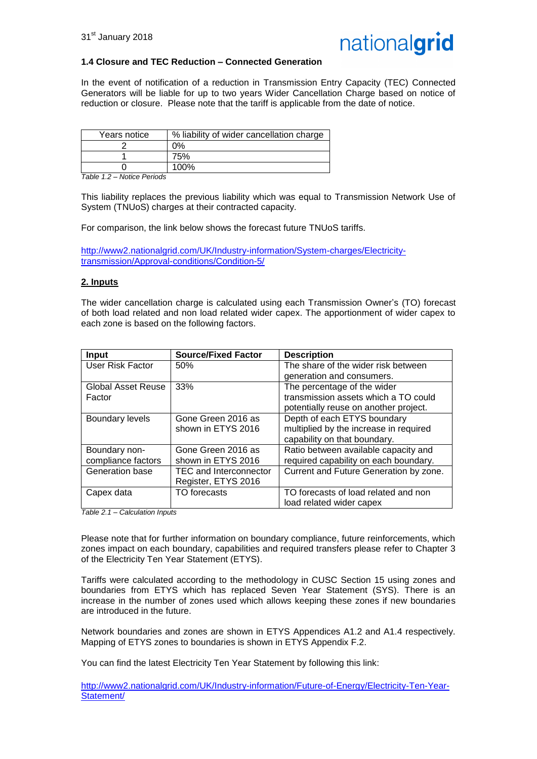

#### **1.4 Closure and TEC Reduction – Connected Generation**

In the event of notification of a reduction in Transmission Entry Capacity (TEC) Connected Generators will be liable for up to two years Wider Cancellation Charge based on notice of reduction or closure. Please note that the tariff is applicable from the date of notice.

| Years notice | % liability of wider cancellation charge |
|--------------|------------------------------------------|
|              | ገ%                                       |
|              | 75%                                      |
|              | 100%                                     |

*Table 1.2 – Notice Periods*

This liability replaces the previous liability which was equal to Transmission Network Use of System (TNUoS) charges at their contracted capacity.

For comparison, the link below shows the forecast future TNUoS tariffs.

[http://www2.nationalgrid.com/UK/Industry-information/System-charges/Electricity](http://www2.nationalgrid.com/UK/Industry-information/System-charges/Electricity-transmission/Approval-conditions/Condition-5/)[transmission/Approval-conditions/Condition-5/](http://www2.nationalgrid.com/UK/Industry-information/System-charges/Electricity-transmission/Approval-conditions/Condition-5/)

#### **2. Inputs**

The wider cancellation charge is calculated using each Transmission Owner's (TO) forecast of both load related and non load related wider capex. The apportionment of wider capex to each zone is based on the following factors.

| <b>Input</b>           | <b>Source/Fixed Factor</b>    | <b>Description</b>                     |
|------------------------|-------------------------------|----------------------------------------|
| User Risk Factor       | 50%                           | The share of the wider risk between    |
|                        |                               | generation and consumers.              |
| Global Asset Reuse     | 33%                           | The percentage of the wider            |
| Factor                 |                               | transmission assets which a TO could   |
|                        |                               | potentially reuse on another project.  |
| <b>Boundary levels</b> | Gone Green 2016 as            | Depth of each ETYS boundary            |
|                        | shown in ETYS 2016            | multiplied by the increase in required |
|                        |                               | capability on that boundary.           |
| Boundary non-          | Gone Green 2016 as            | Ratio between available capacity and   |
| compliance factors     | shown in ETYS 2016            | required capability on each boundary.  |
| Generation base        | <b>TEC and Interconnector</b> | Current and Future Generation by zone. |
|                        | Register, ETYS 2016           |                                        |
| Capex data             | TO forecasts                  | TO forecasts of load related and non   |
|                        |                               | load related wider capex               |

*Table 2.1 – Calculation Inputs*

Please note that for further information on boundary compliance, future reinforcements, which zones impact on each boundary, capabilities and required transfers please refer to Chapter 3 of the Electricity Ten Year Statement (ETYS).

Tariffs were calculated according to the methodology in CUSC Section 15 using zones and boundaries from ETYS which has replaced Seven Year Statement (SYS). There is an increase in the number of zones used which allows keeping these zones if new boundaries are introduced in the future.

Network boundaries and zones are shown in ETYS Appendices A1.2 and A1.4 respectively. Mapping of ETYS zones to boundaries is shown in ETYS Appendix F.2.

You can find the latest Electricity Ten Year Statement by following this link:

[http://www2.nationalgrid.com/UK/Industry-information/Future-of-Energy/Electricity-Ten-Year-](http://www2.nationalgrid.com/UK/Industry-information/Future-of-Energy/Electricity-Ten-Year-Statement/)[Statement/](http://www2.nationalgrid.com/UK/Industry-information/Future-of-Energy/Electricity-Ten-Year-Statement/)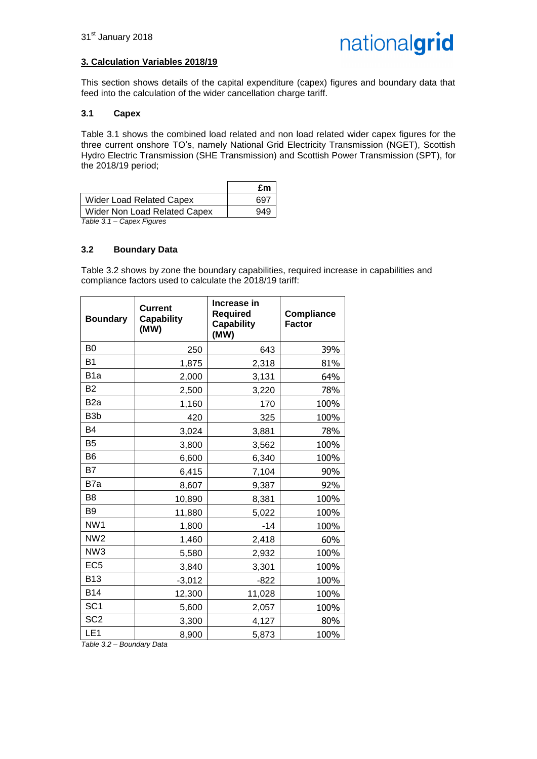#### **3. Calculation Variables 2018/19**

This section shows details of the capital expenditure (capex) figures and boundary data that feed into the calculation of the wider cancellation charge tariff.

#### **3.1 Capex**

Table 3.1 shows the combined load related and non load related wider capex figures for the three current onshore TO's, namely National Grid Electricity Transmission (NGET), Scottish Hydro Electric Transmission (SHE Transmission) and Scottish Power Transmission (SPT), for the 2018/19 period;

|                                           | £m  |
|-------------------------------------------|-----|
| <b>Wider Load Related Capex</b>           | 697 |
| Wider Non Load Related Capex              | 949 |
| $T - L L - T$<br>$O = 2.2$ Figures $\sim$ |     |

*Table 3.1 – Capex Figures*

#### **3.2 Boundary Data**

Table 3.2 shows by zone the boundary capabilities, required increase in capabilities and compliance factors used to calculate the 2018/19 tariff:

| <b>Boundary</b>  | <b>Current</b><br><b>Capability</b><br>(MW) | Increase in<br><b>Required</b><br><b>Capability</b><br>(MW) | <b>Compliance</b><br><b>Factor</b> |
|------------------|---------------------------------------------|-------------------------------------------------------------|------------------------------------|
| B <sub>0</sub>   | 250                                         | 643                                                         | 39%                                |
| B <sub>1</sub>   | 1,875                                       | 2,318                                                       | 81%                                |
| B <sub>1</sub> a | 2,000                                       | 3,131                                                       | 64%                                |
| <b>B2</b>        | 2,500                                       | 3,220                                                       | 78%                                |
| B <sub>2</sub> a | 1,160                                       | 170                                                         | 100%                               |
| B <sub>3</sub> b | 420                                         | 325                                                         | 100%                               |
| <b>B4</b>        | 3,024                                       | 3,881                                                       | 78%                                |
| <b>B5</b>        | 3,800                                       | 3,562                                                       | 100%                               |
| B <sub>6</sub>   | 6,600                                       | 6,340                                                       | 100%                               |
| <b>B7</b>        | 6,415                                       | 7,104                                                       | 90%                                |
| B7a              | 8,607                                       | 9,387                                                       | 92%                                |
| B <sub>8</sub>   | 10,890                                      | 8,381                                                       | 100%                               |
| B <sub>9</sub>   | 11,880                                      | 5,022                                                       | 100%                               |
| NW1              | 1,800                                       | $-14$                                                       | 100%                               |
| NW <sub>2</sub>  | 1,460                                       | 2,418                                                       | 60%                                |
| NW <sub>3</sub>  | 5,580                                       | 2,932                                                       | 100%                               |
| EC <sub>5</sub>  | 3,840                                       | 3,301                                                       | 100%                               |
| <b>B13</b>       | $-3,012$                                    | $-822$                                                      | 100%                               |
| <b>B14</b>       | 12,300                                      | 11,028                                                      | 100%                               |
| SC <sub>1</sub>  | 5,600                                       | 2,057                                                       | 100%                               |
| SC <sub>2</sub>  | 3,300                                       | 4,127                                                       | 80%                                |
| LE <sub>1</sub>  | 8,900                                       | 5,873                                                       | 100%                               |

*Table 3.2 – Boundary Data*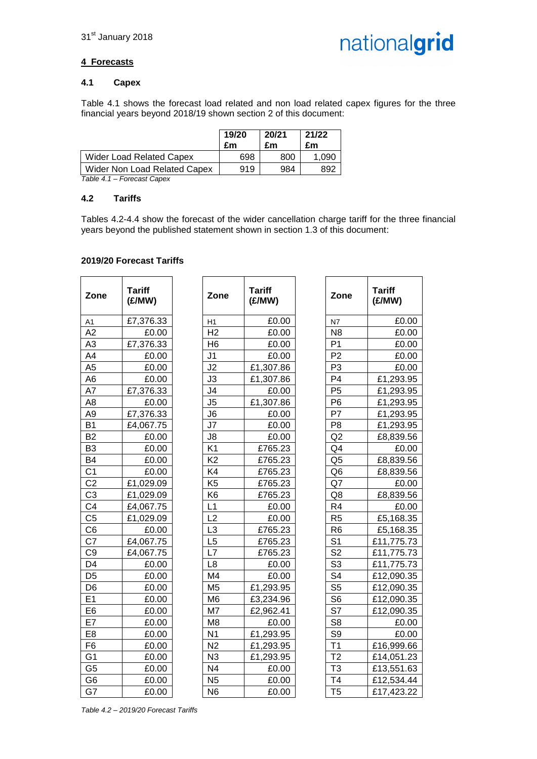

#### **4 Forecasts**

#### **4.1 Capex**

Table 4.1 shows the forecast load related and non load related capex figures for the three financial years beyond 2018/19 shown section 2 of this document:

|                              | 19/20<br>£m | 20/21<br>£m | 21/22<br>£m |
|------------------------------|-------------|-------------|-------------|
| Wider Load Related Capex     | 698         | 800         | 1.090       |
| Wider Non Load Related Capex | 919         | 984         | 892         |

*Table 4.1 – Forecast Capex*

#### **4.2 Tariffs**

Tables 4.2-4.4 show the forecast of the wider cancellation charge tariff for the three financial years beyond the published statement shown in section 1.3 of this document:

#### **2019/20 Forecast Tariffs**

| Zone           | <b>Tariff</b><br>(E/MW) | Zone           | <b>Tariff</b><br>(E/MW) | Zone           | <b>Tariff</b><br>(E/MW) |
|----------------|-------------------------|----------------|-------------------------|----------------|-------------------------|
| A1             | £7,376.33               | H1             | £0.00                   | ${\sf N}7$     | £0.00                   |
| A2             | £0.00                   | H <sub>2</sub> | £0.00                   | N <sub>8</sub> | £0.00                   |
| A <sub>3</sub> | £7,376.33               | H <sub>6</sub> | £0.00                   | P <sub>1</sub> | £0.00                   |
| A4             | £0.00                   | J <sub>1</sub> | £0.00                   | P <sub>2</sub> | £0.00                   |
| A <sub>5</sub> | £0.00                   | J2             | £1,307.86               | P <sub>3</sub> | £0.00                   |
| A6             | £0.00                   | J3             | £1,307.86               | P <sub>4</sub> | £1,293.95               |
| A7             | £7,376.33               | J4             | £0.00                   | P <sub>5</sub> | £1,293.95               |
| A <sub>8</sub> | £0.00                   | J5             | £1,307.86               | P <sub>6</sub> | £1,293.95               |
| A <sub>9</sub> | £7,376.33               | J6             | £0.00                   | P7             | £1,293.95               |
| <b>B1</b>      | £4,067.75               | J7             | £0.00                   | P <sub>8</sub> | £1,293.95               |
| <b>B2</b>      | £0.00                   | J8             | £0.00                   | Q2             | £8,839.56               |
| B <sub>3</sub> | £0.00                   | K <sub>1</sub> | £765.23                 | Q4             | £0.00                   |
| <b>B4</b>      | £0.00                   | K <sub>2</sub> | £765.23                 | Q <sub>5</sub> | £8,839.56               |
| C <sub>1</sub> | £0.00                   | K4             | £765.23                 | Q <sub>6</sub> | £8,839.56               |
| C <sub>2</sub> | £1,029.09               | K <sub>5</sub> | £765.23                 | Q7             | £0.00                   |
| C <sub>3</sub> | £1,029.09               | K <sub>6</sub> | £765.23                 | Q8             | £8,839.56               |
| C <sub>4</sub> | £4,067.75               | L1             | £0.00                   | R4             | £0.00                   |
| C <sub>5</sub> | £1,029.09               | L2             | £0.00                   | R <sub>5</sub> | £5,168.35               |
| C <sub>6</sub> | £0.00                   | L <sub>3</sub> | £765.23                 | R <sub>6</sub> | £5,168.35               |
| C7             | £4,067.75               | L <sub>5</sub> | £765.23                 | S <sub>1</sub> | £11,775.73              |
| C <sub>9</sub> | £4,067.75               | L7             | £765.23                 | S <sub>2</sub> | £11,775.73              |
| D <sub>4</sub> | £0.00                   | L8             | £0.00                   | S <sub>3</sub> | £11,775.73              |
| D <sub>5</sub> | £0.00                   | M4             | £0.00                   | S <sub>4</sub> | £12,090.35              |
| D <sub>6</sub> | £0.00                   | M <sub>5</sub> | £1,293.95               | S <sub>5</sub> | £12,090.35              |
| E <sub>1</sub> | £0.00                   | M6             | £3,234.96               | S <sub>6</sub> | £12,090.35              |
| E <sub>6</sub> | £0.00                   | M7             | £2,962.41               | S7             | £12,090.35              |
| E7             | £0.00                   | M <sub>8</sub> | £0.00                   | S <sub>8</sub> | £0.00                   |
| E <sub>8</sub> | £0.00                   | N <sub>1</sub> | £1,293.95               | S <sub>9</sub> | £0.00                   |
| F <sub>6</sub> | £0.00                   | N <sub>2</sub> | £1,293.95               | T <sub>1</sub> | £16,999.66              |
| G <sub>1</sub> | £0.00                   | N <sub>3</sub> | £1,293.95               | T <sub>2</sub> | £14,051.23              |
| G <sub>5</sub> | £0.00                   | N <sub>4</sub> | £0.00                   | T <sub>3</sub> | £13,551.63              |
| G <sub>6</sub> | £0.00                   | N <sub>5</sub> | £0.00                   | T4             | £12,534.44              |
| G7             | £0.00                   | N <sub>6</sub> | £0.00                   | T <sub>5</sub> | £17,423.22              |

| Zone                     | Tariff<br>(E/MW) |
|--------------------------|------------------|
| <u>H1</u>                | £0.00            |
| H <sub>2</sub>           | £0.00            |
| H <sub>6</sub>           | £0.00            |
| J <sub>1</sub>           | £0.00            |
| J2                       | £1,307.86        |
| J3                       | £1,307.86        |
| J4                       | £0.00            |
| $\overline{\mathsf{J}5}$ | £1,307.86        |
| J6                       | £0.00            |
| J7                       | £0.00            |
| J8                       | £0.00            |
| K <sub>1</sub>           | £765.23          |
| K <sub>2</sub>           | £765.23          |
| K4                       | £765.23          |
| K <sub>5</sub>           | £765.23          |
| K6                       | £765.23          |
| L1                       | £0.00            |
| L2                       | £0.00            |
| L3                       | £765.23          |
| L5                       | £765.23          |
| L7                       | £765.23          |
| L8                       | £0.00            |
| M4                       | £0.00            |
| M5                       | £1,293.95        |
| M <sub>6</sub>           | £3,234.96        |
| M7                       | £2,962.41        |
| M <sub>8</sub>           | £0.00            |
| N <sub>1</sub>           | £1,293.95        |
| N <sub>2</sub>           | £1,293.95        |
| N3                       | £1,293.95        |
| N4                       | £0.00            |
| N5                       | £0.00            |
| N٢                       | ғი იი            |

| Tariff<br>(£/MW) | Zone           | Tariff<br>(E/MW) |
|------------------|----------------|------------------|
| £0.00            | N7             | £0.00            |
| £0.00            | N <sub>8</sub> | £0.00            |
| £0.00            | P1             | £0.00            |
| £0.00            | P <sub>2</sub> | £0.00            |
| £1,307.86        | P <sub>3</sub> | £0.00            |
| £1,307.86        | P <sub>4</sub> | £1,293.95        |
| £0.00            | P <sub>5</sub> | £1,293.95        |
| £1,307.86        | P <sub>6</sub> | £1,293.95        |
| £0.00            | P7             | £1,293.95        |
| £0.00            | P8             | £1,293.95        |
| £0.00            | Q <sub>2</sub> | £8,839.56        |
| £765.23          | Q4             | £0.00            |
| £765.23          | Q <sub>5</sub> | £8,839.56        |
| £765.23          | Q <sub>6</sub> | £8,839.56        |
| £765.23          | Q7             | £0.00            |
| £765.23          | Q8             | £8,839.56        |
| £0.00            | R <sub>4</sub> | £0.00            |
| £0.00            | R <sub>5</sub> | £5,168.35        |
| £765.23          | R <sub>6</sub> | £5,168.35        |
| £765.23          | S <sub>1</sub> | £11,775.73       |
| £765.23          | S <sub>2</sub> | £11,775.73       |
| £0.00            | S <sub>3</sub> | £11,775.73       |
| £0.00            | S <sub>4</sub> | £12,090.35       |
| £1,293.95        | S <sub>5</sub> | £12,090.35       |
| £3,234.96        | S <sub>6</sub> | £12,090.35       |
| £2,962.41        | S7             | £12,090.35       |
| £0.00            | S <sub>8</sub> | £0.00            |
| £1,293.95        | S <sub>9</sub> | £0.00            |
| £1,293.95        | T <sub>1</sub> | £16,999.66       |
| £1,293.95        | T <sub>2</sub> | £14,051.23       |
| £0.00            | T <sub>3</sub> | £13,551.63       |
| £0.00            | T4             | £12,534.44       |
| £0.00            | T <sub>5</sub> | £17,423.22       |

*Table 4.2 – 2019/20 Forecast Tariffs*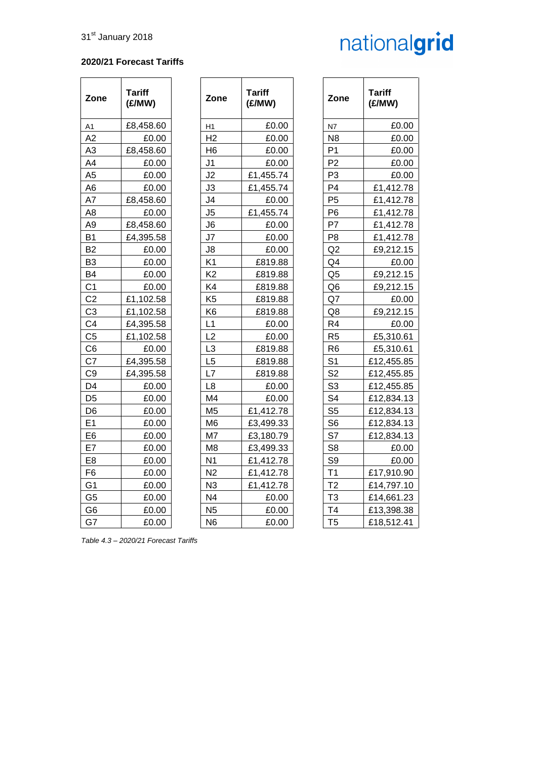#### **2020/21 Forecast Tariffs**

| Zone           | <b>Tariff</b><br>(E/MW) | Zone           | <b>Tariff</b><br>(E/MW) | Zone           | <b>Tariff</b><br>(E/MW) |
|----------------|-------------------------|----------------|-------------------------|----------------|-------------------------|
| A1             | £8,458.60               | H1             | £0.00                   | N7             | £0.00                   |
| A2             | £0.00                   | H <sub>2</sub> | £0.00                   | N <sub>8</sub> | £0.00                   |
| A <sub>3</sub> | £8,458.60               | H <sub>6</sub> | £0.00                   | P <sub>1</sub> | £0.00                   |
| A4             | £0.00                   | J <sub>1</sub> | £0.00                   | P <sub>2</sub> | £0.00                   |
| A <sub>5</sub> | £0.00                   | J2             | £1,455.74               | P <sub>3</sub> | £0.00                   |
| A <sub>6</sub> | £0.00                   | J3             | £1,455.74               | P <sub>4</sub> | £1,412.78               |
| A7             | £8,458.60               | J <sub>4</sub> | £0.00                   | P <sub>5</sub> | £1,412.78               |
| A8             | £0.00                   | J <sub>5</sub> | £1,455.74               | P <sub>6</sub> | £1,412.78               |
| A <sub>9</sub> | £8,458.60               | J6             | £0.00                   | P7             | £1,412.78               |
| <b>B1</b>      | £4,395.58               | J7             | £0.00                   | P <sub>8</sub> | £1,412.78               |
| B <sub>2</sub> | £0.00                   | J8             | £0.00                   | Q2             | £9,212.15               |
| B <sub>3</sub> | £0.00                   | K <sub>1</sub> | £819.88                 | Q4             | £0.00                   |
| <b>B4</b>      | £0.00                   | K <sub>2</sub> | £819.88                 | Q <sub>5</sub> | £9,212.15               |
| C <sub>1</sub> | £0.00                   | K4             | £819.88                 | Q <sub>6</sub> | £9,212.15               |
| C <sub>2</sub> | £1,102.58               | K <sub>5</sub> | £819.88                 | Q7             | £0.00                   |
| C <sub>3</sub> | £1,102.58               | K <sub>6</sub> | £819.88                 | Q8             | £9,212.15               |
| C <sub>4</sub> | £4,395.58               | L1             | £0.00                   | R <sub>4</sub> | £0.00                   |
| C <sub>5</sub> | £1,102.58               | L2             | £0.00                   | R <sub>5</sub> | £5,310.61               |
| C <sub>6</sub> | £0.00                   | L <sub>3</sub> | £819.88                 | R <sub>6</sub> | £5,310.61               |
| C7             | £4,395.58               | L <sub>5</sub> | £819.88                 | S <sub>1</sub> | £12,455.85              |
| C <sub>9</sub> | £4,395.58               | L7             | £819.88                 | S <sub>2</sub> | £12,455.85              |
| D <sub>4</sub> | £0.00                   | L <sub>8</sub> | £0.00                   | S <sub>3</sub> | £12,455.85              |
| D <sub>5</sub> | £0.00                   | M <sub>4</sub> | £0.00                   | S <sub>4</sub> | £12,834.13              |
| D <sub>6</sub> | £0.00                   | M <sub>5</sub> | £1,412.78               | S <sub>5</sub> | £12,834.13              |
| E1             | £0.00                   | M <sub>6</sub> | £3,499.33               | S <sub>6</sub> | £12,834.13              |
| E <sub>6</sub> | £0.00                   | M7             | £3,180.79               | S7             | £12,834.13              |
| E7             | £0.00                   | M <sub>8</sub> | £3,499.33               | S <sub>8</sub> | £0.00                   |
| E <sub>8</sub> | £0.00                   | N <sub>1</sub> | £1,412.78               | S <sub>9</sub> | £0.00                   |
| F <sub>6</sub> | £0.00                   | N <sub>2</sub> | £1,412.78               | T1             | £17,910.90              |
| G <sub>1</sub> | £0.00                   | N <sub>3</sub> | £1,412.78               | T <sub>2</sub> | £14,797.10              |
| G <sub>5</sub> | £0.00                   | N <sub>4</sub> | £0.00                   | T <sub>3</sub> | £14,661.23              |
| G <sub>6</sub> | £0.00                   | N <sub>5</sub> | £0.00                   | T <sub>4</sub> | £13,398.38              |
| G7             | £0.00                   | N <sub>6</sub> | £0.00                   | T <sub>5</sub> | £18,512.41              |

| Zone           | Tariff<br>(E/MW) |
|----------------|------------------|
| Η1             | £0.00            |
| H <sub>2</sub> | £0.00            |
| H6             | £0.00            |
| J1             | £0.00            |
| J <sub>2</sub> | £1,455.74        |
| J3             | £1,455.74        |
| J4             | £0.00            |
| J <sub>5</sub> | £1,455.74        |
| J6             | £0.00            |
| J7             | £0.00            |
| J8             | £0.00            |
| K1             | £819.88          |
| K2             | £819.88          |
| K4             | £819.88          |
| K5             | £819.88          |
| K6             | £819.88          |
| L1             | £0.00            |
| L2             | £0.00            |
| L <sub>3</sub> | £819.88          |
| L <sub>5</sub> | £819.88          |
| L7             | £819.88          |
| L8             | £0.00            |
| M4             | £0.00            |
| M <sub>5</sub> | £1,412.78        |
| M6             | £3,499.33        |
| M7             | £3,180.79        |
| M8             | £3,499.33        |
| N1             | £1,412.78        |
| N2             | £1,412.78        |
| N3             | £1,412.78        |
| N <sub>4</sub> | £0.00            |
| N5             | £0.00            |
| NIR            | ናስ በበ            |

| Tariff<br>(£/MW) | Zone           | <b>Tariff</b><br>(E/MW) |
|------------------|----------------|-------------------------|
| £0.00            | N7             | £0.00                   |
| £0.00            | N8             | £0.00                   |
| £0.00            | P1             | £0.00                   |
| £0.00            | P <sub>2</sub> | £0.00                   |
| £1,455.74        | P3             | £0.00                   |
| £1,455.74        | P4             | £1,412.78               |
| £0.00            | P <sub>5</sub> | £1,412.78               |
| £1,455.74        | P6             | £1,412.78               |
| £0.00            | P7             | £1,412.78               |
| £0.00            | P8             | £1,412.78               |
| £0.00            | Q2             | £9,212.15               |
| £819.88          | Q4             | £0.00                   |
| £819.88          | Q5             | £9,212.15               |
| £819.88          | Q6             | £9,212.15               |
| £819.88          | Q7             | £0.00                   |
| £819.88          | Q8             | £9,212.15               |
| £0.00            | R <sub>4</sub> | £0.00                   |
| £0.00            | R5             | £5,310.61               |
| £819.88          | R6             | £5,310.61               |
| £819.88          | S <sub>1</sub> | £12,455.85              |
| £819.88          | S <sub>2</sub> | £12,455.85              |
| £0.00            | S3             | £12,455.85              |
| £0.00            | S4             | £12,834.13              |
| £1,412.78        | S <sub>5</sub> | £12,834.13              |
| £3,499.33        | S6             | £12,834.13              |
| £3,180.79        | S7             | £12,834.13              |
| £3,499.33        | S <sub>8</sub> | £0.00                   |
| £1,412.78        | S9             | £0.00                   |
| £1,412.78        | T1             | £17,910.90              |
| £1,412.78        | T <sub>2</sub> | £14,797.10              |
| £0.00            | T <sub>3</sub> | £14,661.23              |
| £0.00            | T <sub>4</sub> | £13,398.38              |
| £0.00            | T <sub>5</sub> | £18,512.41              |

*Table 4.3 – 2020/21 Forecast Tariffs*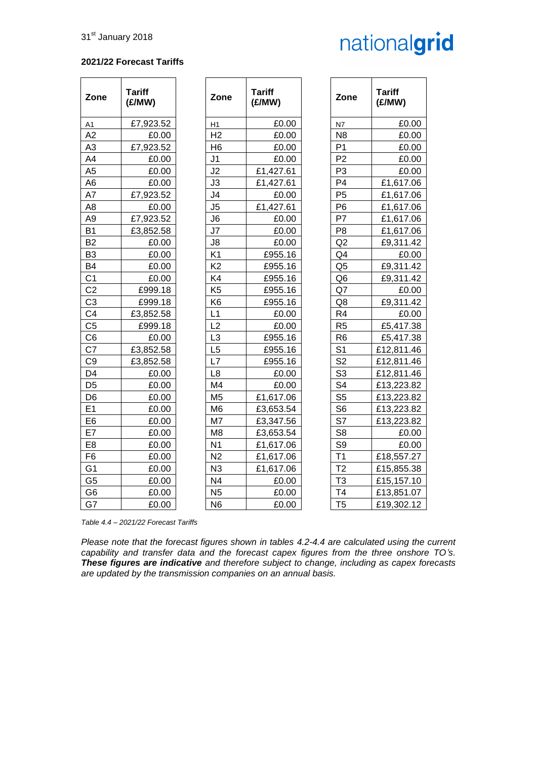#### **2021/22 Forecast Tariffs**

| Zone           | <b>Tariff</b><br>(E/MW) | Zone           | <b>Tariff</b><br>(E/MW) | Zone           | <b>Tariff</b><br>(E/MW) |
|----------------|-------------------------|----------------|-------------------------|----------------|-------------------------|
| A1             | £7,923.52               | H1             | £0.00                   | N7             | £0.00                   |
| A2             | £0.00                   | H <sub>2</sub> | £0.00                   | N <sub>8</sub> | £0.00                   |
| A3             | £7,923.52               | H <sub>6</sub> | £0.00                   | P <sub>1</sub> | £0.00                   |
| A4             | £0.00                   | J <sub>1</sub> | £0.00                   | P <sub>2</sub> | £0.00                   |
| A <sub>5</sub> | £0.00                   | J2             | £1,427.61               | P <sub>3</sub> | £0.00                   |
| A <sub>6</sub> | £0.00                   | J3             | £1,427.61               | P <sub>4</sub> | £1,617.06               |
| A7             | £7,923.52               | J <sub>4</sub> | £0.00                   | P <sub>5</sub> | £1,617.06               |
| A <sub>8</sub> | £0.00                   | J <sub>5</sub> | £1,427.61               | P <sub>6</sub> | £1,617.06               |
| A <sub>9</sub> | £7,923.52               | J6             | £0.00                   | P7             | £1,617.06               |
| <b>B1</b>      | £3,852.58               | J7             | £0.00                   | P <sub>8</sub> | £1,617.06               |
| B <sub>2</sub> | £0.00                   | J8             | £0.00                   | Q2             | £9,311.42               |
| B <sub>3</sub> | £0.00                   | K <sub>1</sub> | £955.16                 | Q4             | £0.00                   |
| B <sub>4</sub> | £0.00                   | K <sub>2</sub> | £955.16                 | Q <sub>5</sub> | £9,311.42               |
| C <sub>1</sub> | £0.00                   | K4             | £955.16                 | Q <sub>6</sub> | £9,311.42               |
| C <sub>2</sub> | £999.18                 | K <sub>5</sub> | £955.16                 | Q7             | £0.00                   |
| C <sub>3</sub> | £999.18                 | K <sub>6</sub> | £955.16                 | Q8             | £9,311.42               |
| C4             | £3,852.58               | L1             | £0.00                   | R <sub>4</sub> | £0.00                   |
| C <sub>5</sub> | £999.18                 | L <sub>2</sub> | £0.00                   | R <sub>5</sub> | £5,417.38               |
| C <sub>6</sub> | £0.00                   | L3             | £955.16                 | R <sub>6</sub> | £5,417.38               |
| C7             | £3,852.58               | L5             | £955.16                 | S <sub>1</sub> | £12,811.46              |
| C <sub>9</sub> | £3,852.58               | L7             | £955.16                 | S <sub>2</sub> | £12,811.46              |
| D <sub>4</sub> | £0.00                   | L <sub>8</sub> | £0.00                   | S <sub>3</sub> | £12,811.46              |
| D <sub>5</sub> | £0.00                   | M <sub>4</sub> | £0.00                   | S <sub>4</sub> | £13,223.82              |
| D <sub>6</sub> | £0.00                   | M <sub>5</sub> | £1,617.06               | S <sub>5</sub> | £13,223.82              |
| E <sub>1</sub> | £0.00                   | M <sub>6</sub> | £3,653.54               | S <sub>6</sub> | £13,223.82              |
| E <sub>6</sub> | £0.00                   | M7             | £3,347.56               | S7             | £13,223.82              |
| E7             | £0.00                   | M <sub>8</sub> | £3,653.54               | S <sub>8</sub> | £0.00                   |
| E <sub>8</sub> | £0.00                   | N <sub>1</sub> | £1,617.06               | S <sub>9</sub> | £0.00                   |
| F <sub>6</sub> | £0.00                   | N <sub>2</sub> | £1,617.06               | T <sub>1</sub> | £18,557.27              |
| G <sub>1</sub> | £0.00                   | N <sub>3</sub> | £1,617.06               | T <sub>2</sub> | £15,855.38              |
| G <sub>5</sub> | £0.00                   | N <sub>4</sub> | £0.00                   | T <sub>3</sub> | £15,157.10              |
| G <sub>6</sub> | £0.00                   | N <sub>5</sub> | £0.00                   | T <sub>4</sub> | £13,851.07              |
| G7             | £0.00                   | N <sub>6</sub> | £0.00                   | T <sub>5</sub> | £19,302.12              |

*Table 4.4 – 2021/22 Forecast Tariffs*

*Please note that the forecast figures shown in tables 4.2-4.4 are calculated using the current capability and transfer data and the forecast capex figures from the three onshore TO's. These figures are indicative and therefore subject to change, including as capex forecasts are updated by the transmission companies on an annual basis.*